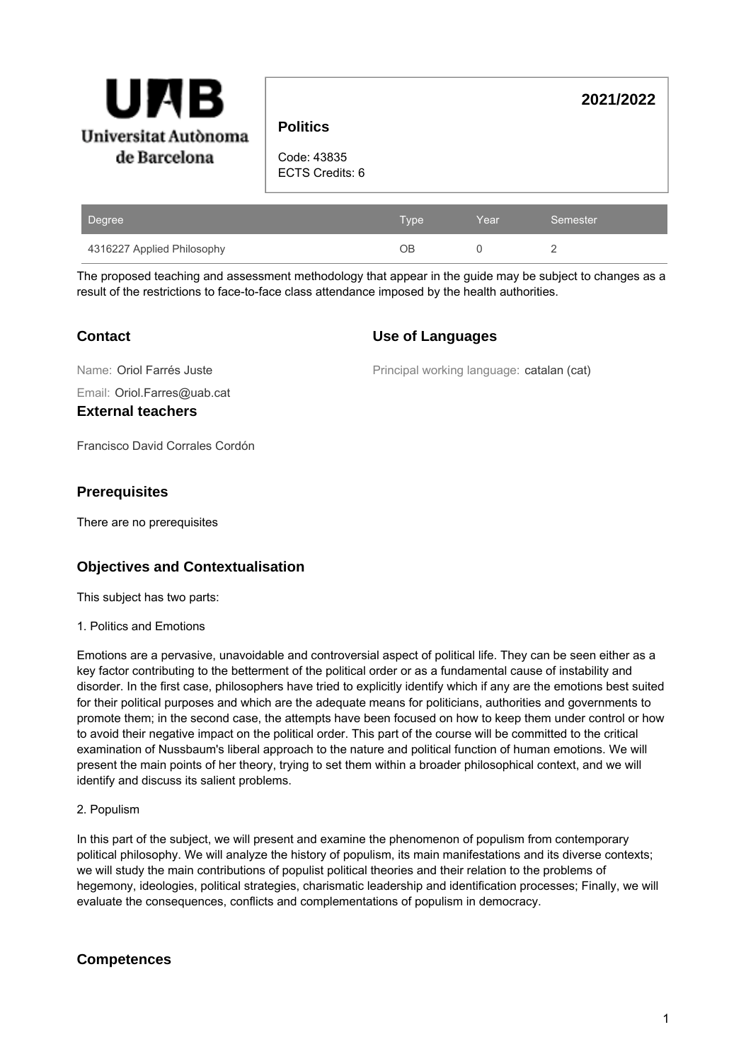

**Politics**

**2021/2022**

Code: 43835 ECTS Credits: 6

| Degree                     | Type' | Year | Semester |
|----------------------------|-------|------|----------|
| 4316227 Applied Philosophy | OΒ    |      |          |

The proposed teaching and assessment methodology that appear in the guide may be subject to changes as a result of the restrictions to face-to-face class attendance imposed by the health authorities.

## **Contact**

### **Use of Languages**

Name: Oriol Farrés Juste

Principal working language: catalan (cat)

Email: Oriol.Farres@uab.cat

**External teachers**

Francisco David Corrales Cordón

### **Prerequisites**

There are no prerequisites

# **Objectives and Contextualisation**

This subject has two parts:

1. Politics and Emotions

Emotions are a pervasive, unavoidable and controversial aspect of political life. They can be seen either as a key factor contributing to the betterment of the political order or as a fundamental cause of instability and disorder. In the first case, philosophers have tried to explicitly identify which if any are the emotions best suited for their political purposes and which are the adequate means for politicians, authorities and governments to promote them; in the second case, the attempts have been focused on how to keep them under control or how to avoid their negative impact on the political order. This part of the course will be committed to the critical examination of Nussbaum's liberal approach to the nature and political function of human emotions. We will present the main points of her theory, trying to set them within a broader philosophical context, and we will identify and discuss its salient problems.

### 2. Populism

In this part of the subject, we will present and examine the phenomenon of populism from contemporary political philosophy. We will analyze the history of populism, its main manifestations and its diverse contexts; we will study the main contributions of populist political theories and their relation to the problems of hegemony, ideologies, political strategies, charismatic leadership and identification processes; Finally, we will evaluate the consequences, conflicts and complementations of populism in democracy.

## **Competences**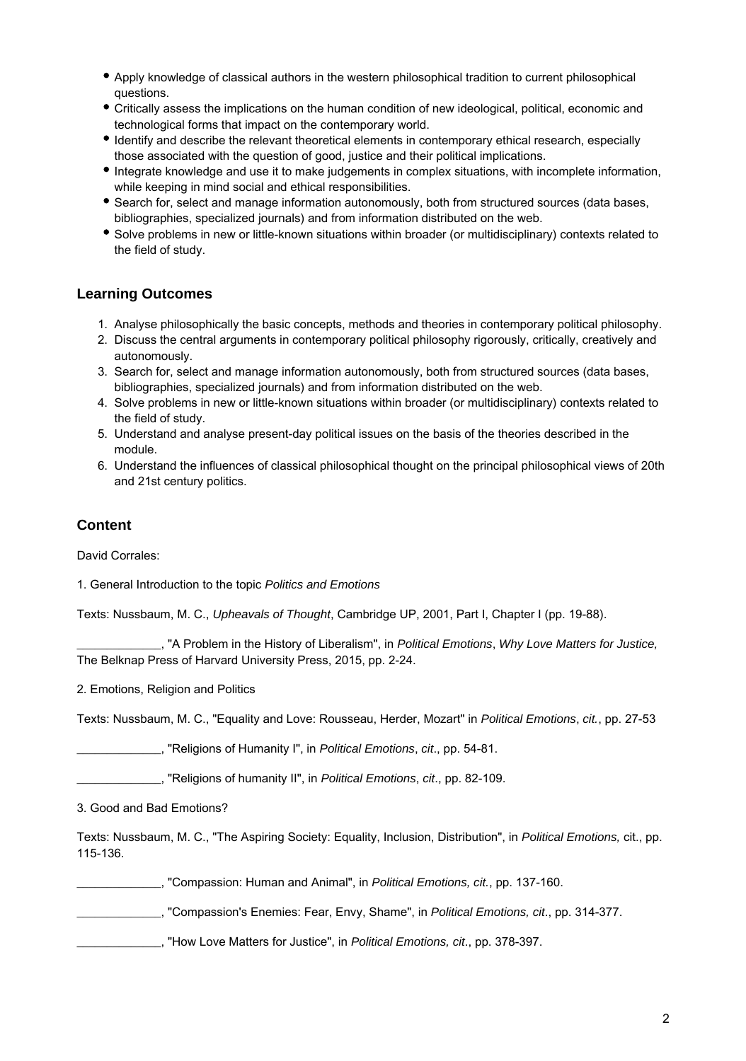- Apply knowledge of classical authors in the western philosophical tradition to current philosophical questions.
- Critically assess the implications on the human condition of new ideological, political, economic and technological forms that impact on the contemporary world.
- Identify and describe the relevant theoretical elements in contemporary ethical research, especially those associated with the question of good, justice and their political implications.
- Integrate knowledge and use it to make judgements in complex situations, with incomplete information, while keeping in mind social and ethical responsibilities.
- Search for, select and manage information autonomously, both from structured sources (data bases, bibliographies, specialized journals) and from information distributed on the web.
- Solve problems in new or little-known situations within broader (or multidisciplinary) contexts related to the field of study.

### **Learning Outcomes**

- 1. Analyse philosophically the basic concepts, methods and theories in contemporary political philosophy.
- 2. Discuss the central arguments in contemporary political philosophy rigorously, critically, creatively and autonomously.
- 3. Search for, select and manage information autonomously, both from structured sources (data bases, bibliographies, specialized journals) and from information distributed on the web.
- 4. Solve problems in new or little-known situations within broader (or multidisciplinary) contexts related to the field of study.
- 5. Understand and analyse present-day political issues on the basis of the theories described in the module.
- 6. Understand the influences of classical philosophical thought on the principal philosophical views of 20th and 21st century politics.

## **Content**

David Corrales:

1. General Introduction to the topic Politics and Emotions

Texts: Nussbaum, M. C., Upheavals of Thought, Cambridge UP, 2001, Part I, Chapter I (pp. 19-88).

. "A Problem in the History of Liberalism", in Political Emotions, Why Love Matters for Justice, The Belknap Press of Harvard University Press, 2015, pp. 2-24.

2. Emotions, Religion and Politics

Texts: Nussbaum, M. C., "Equality and Love: Rousseau, Herder, Mozart" in Political Emotions, cit., pp. 27-53

. "Religions of Humanity I", in Political Emotions, cit., pp. 54-81.

..., "Religions of humanity II", in Political Emotions, cit., pp. 82-109.

3. Good and Bad Emotions?

Texts: Nussbaum, M. C., "The Aspiring Society: Equality, Inclusion, Distribution", in Political Emotions, cit., pp. 115-136.

\_\_\_\_\_\_\_\_\_\_\_\_\_\_, "Compassion: Human and Animal", in Political Emotions, cit., pp. 137-160.

, "Compassion's Enemies: Fear, Envy, Shame", in *Political Emotions, cit.*, pp. 314-377.

**\_\_\_\_,** "How Love Matters for Justice", in Political Emotions, cit., pp. 378-397.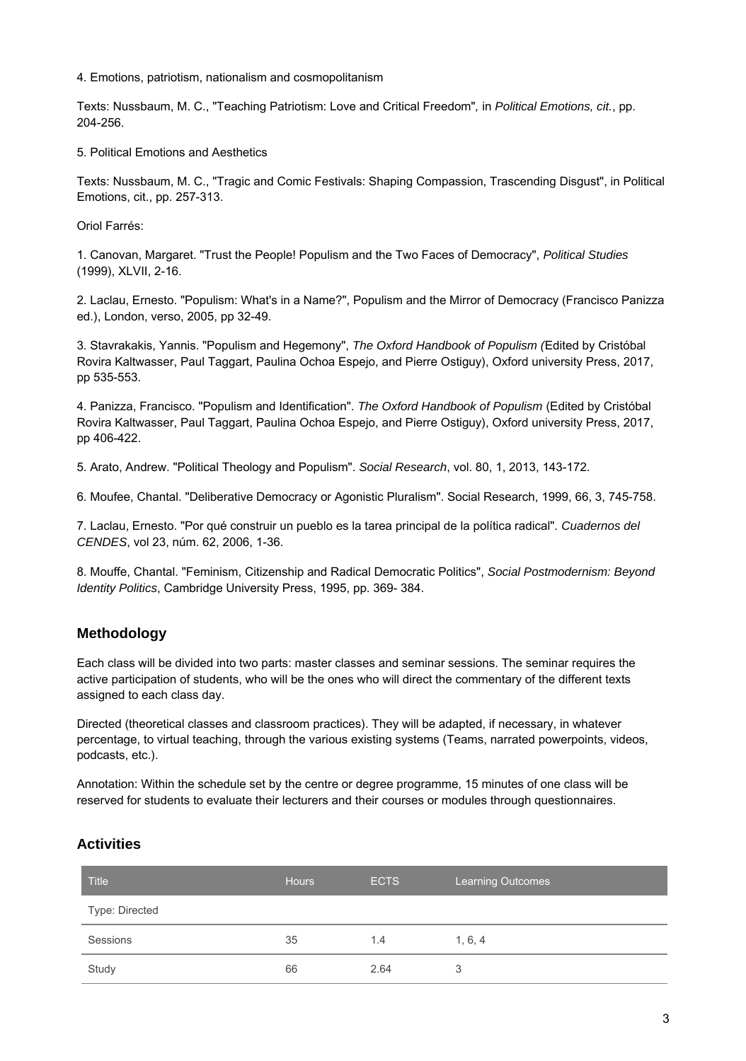#### 4. Emotions, patriotism, nationalism and cosmopolitanism

Texts: Nussbaum, M. C., "Teaching Patriotism: Love and Critical Freedom", in Political Emotions, cit., pp. 204-256.

#### 5. Political Emotions and Aesthetics

Texts: Nussbaum, M. C., "Tragic and Comic Festivals: Shaping Compassion, Trascending Disgust", in Political Emotions, cit., pp. 257-313.

Oriol Farrés:

1. Canovan, Margaret. "Trust the People! Populism and the Two Faces of Democracy", Political Studies (1999), XLVII, 2-16.

2. Laclau, Ernesto. "Populism: What's in a Name?", Populism and the Mirror of Democracy (Francisco Panizza ed.), London, verso, 2005, pp 32-49.

3. Stavrakakis, Yannis. "Populism and Hegemony", The Oxford Handbook of Populism (Edited by Cristóbal Rovira Kaltwasser, Paul Taggart, Paulina Ochoa Espejo, and Pierre Ostiguy), Oxford university Press, 2017, pp 535-553.

4. Panizza, Francisco. "Populism and Identification". The Oxford Handbook of Populism (Edited by Cristóbal Rovira Kaltwasser, Paul Taggart, Paulina Ochoa Espejo, and Pierre Ostiguy), Oxford university Press, 2017, pp 406-422.

5. Arato, Andrew. "Political Theology and Populism". Social Research, vol. 80, 1, 2013, 143-172.

6. Moufee, Chantal. "Deliberative Democracy or Agonistic Pluralism". Social Research, 1999, 66, 3, 745-758.

7. Laclau, Ernesto. "Por qué construir un pueblo es la tarea principal de la política radical". Cuadernos del CENDES, vol 23, núm. 62, 2006, 1-36.

8. Mouffe, Chantal. "Feminism, Citizenship and Radical Democratic Politics", Social Postmodernism: Beyond Identity Politics, Cambridge University Press, 1995, pp. 369- 384.

### **Methodology**

Each class will be divided into two parts: master classes and seminar sessions. The seminar requires the active participation of students, who will be the ones who will direct the commentary of the different texts assigned to each class day.

Directed (theoretical classes and classroom practices). They will be adapted, if necessary, in whatever percentage, to virtual teaching, through the various existing systems (Teams, narrated powerpoints, videos, podcasts, etc.).

Annotation: Within the schedule set by the centre or degree programme, 15 minutes of one class will be reserved for students to evaluate their lecturers and their courses or modules through questionnaires.

### **Activities**

| <b>Title</b>   | <b>Hours</b> | <b>ECTS</b> | <b>Learning Outcomes</b> |
|----------------|--------------|-------------|--------------------------|
| Type: Directed |              |             |                          |
| Sessions       | 35           | 1.4         | 1, 6, 4                  |
| Study          | 66           | 2.64        | 3                        |